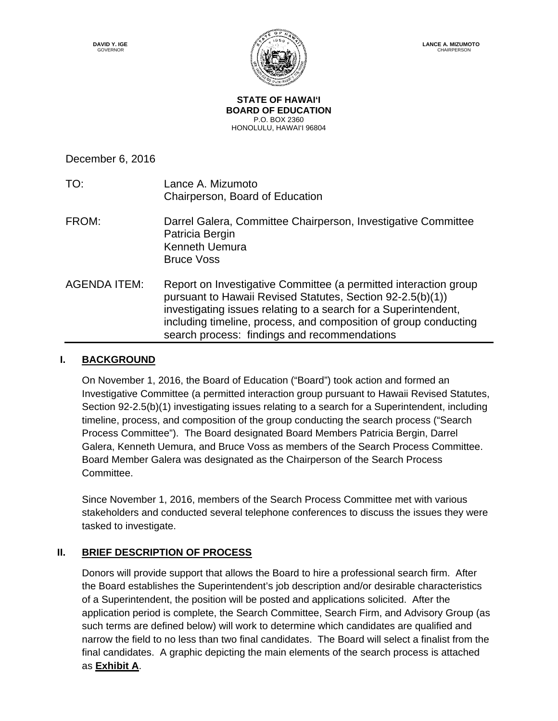

**STATE OF HAWAI'I BOARD OF EDUCATION** P.O. BOX 2360 HONOLULU, HAWAI'I 96804

December 6, 2016

| TO:                 | Lance A. Mizumoto<br>Chairperson, Board of Education                                                                                                                                                                                                                                                                  |
|---------------------|-----------------------------------------------------------------------------------------------------------------------------------------------------------------------------------------------------------------------------------------------------------------------------------------------------------------------|
| FROM:               | Darrel Galera, Committee Chairperson, Investigative Committee<br>Patricia Bergin<br><b>Kenneth Uemura</b><br><b>Bruce Voss</b>                                                                                                                                                                                        |
| <b>AGENDA ITEM:</b> | Report on Investigative Committee (a permitted interaction group<br>pursuant to Hawaii Revised Statutes, Section 92-2.5(b)(1))<br>investigating issues relating to a search for a Superintendent,<br>including timeline, process, and composition of group conducting<br>search process: findings and recommendations |

### **I. BACKGROUND**

On November 1, 2016, the Board of Education ("Board") took action and formed an Investigative Committee (a permitted interaction group pursuant to Hawaii Revised Statutes, Section 92-2.5(b)(1) investigating issues relating to a search for a Superintendent, including timeline, process, and composition of the group conducting the search process ("Search Process Committee"). The Board designated Board Members Patricia Bergin, Darrel Galera, Kenneth Uemura, and Bruce Voss as members of the Search Process Committee. Board Member Galera was designated as the Chairperson of the Search Process Committee.

Since November 1, 2016, members of the Search Process Committee met with various stakeholders and conducted several telephone conferences to discuss the issues they were tasked to investigate.

## **II. BRIEF DESCRIPTION OF PROCESS**

Donors will provide support that allows the Board to hire a professional search firm. After the Board establishes the Superintendent's job description and/or desirable characteristics of a Superintendent, the position will be posted and applications solicited. After the application period is complete, the Search Committee, Search Firm, and Advisory Group (as such terms are defined below) will work to determine which candidates are qualified and narrow the field to no less than two final candidates. The Board will select a finalist from the final candidates. A graphic depicting the main elements of the search process is attached as **Exhibit A**.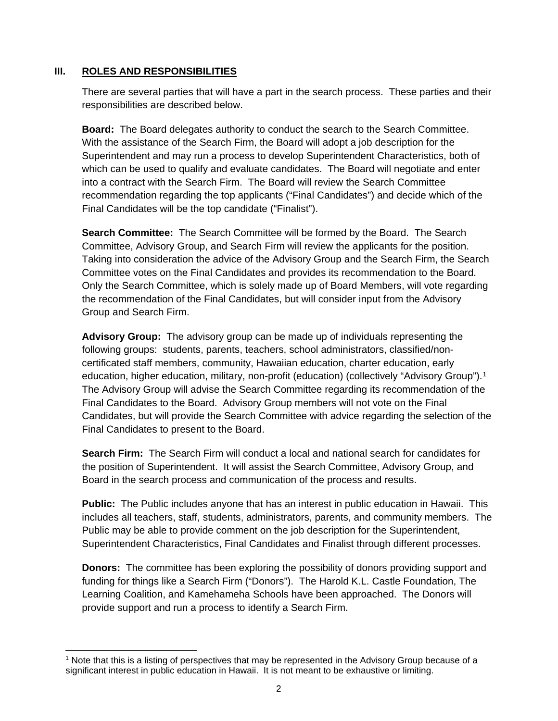#### **III. ROLES AND RESPONSIBILITIES**

There are several parties that will have a part in the search process. These parties and their responsibilities are described below.

**Board:** The Board delegates authority to conduct the search to the Search Committee. With the assistance of the Search Firm, the Board will adopt a job description for the Superintendent and may run a process to develop Superintendent Characteristics, both of which can be used to qualify and evaluate candidates. The Board will negotiate and enter into a contract with the Search Firm. The Board will review the Search Committee recommendation regarding the top applicants ("Final Candidates") and decide which of the Final Candidates will be the top candidate ("Finalist").

**Search Committee:** The Search Committee will be formed by the Board. The Search Committee, Advisory Group, and Search Firm will review the applicants for the position. Taking into consideration the advice of the Advisory Group and the Search Firm, the Search Committee votes on the Final Candidates and provides its recommendation to the Board. Only the Search Committee, which is solely made up of Board Members, will vote regarding the recommendation of the Final Candidates, but will consider input from the Advisory Group and Search Firm.

**Advisory Group:** The advisory group can be made up of individuals representing the following groups: students, parents, teachers, school administrators, classified/noncertificated staff members, community, Hawaiian education, charter education, early education, higher education, military, non-profit (education) (collectively "Advisory Group").<sup>1</sup> The Advisory Group will advise the Search Committee regarding its recommendation of the Final Candidates to the Board. Advisory Group members will not vote on the Final Candidates, but will provide the Search Committee with advice regarding the selection of the Final Candidates to present to the Board.

**Search Firm:** The Search Firm will conduct a local and national search for candidates for the position of Superintendent. It will assist the Search Committee, Advisory Group, and Board in the search process and communication of the process and results.

**Public:** The Public includes anyone that has an interest in public education in Hawaii. This includes all teachers, staff, students, administrators, parents, and community members. The Public may be able to provide comment on the job description for the Superintendent, Superintendent Characteristics, Final Candidates and Finalist through different processes.

**Donors:** The committee has been exploring the possibility of donors providing support and funding for things like a Search Firm ("Donors"). The Harold K.L. Castle Foundation, The Learning Coalition, and Kamehameha Schools have been approached. The Donors will provide support and run a process to identify a Search Firm.

<span id="page-1-0"></span> $\overline{a}$ <sup>1</sup> Note that this is a listing of perspectives that may be represented in the Advisory Group because of a significant interest in public education in Hawaii. It is not meant to be exhaustive or limiting.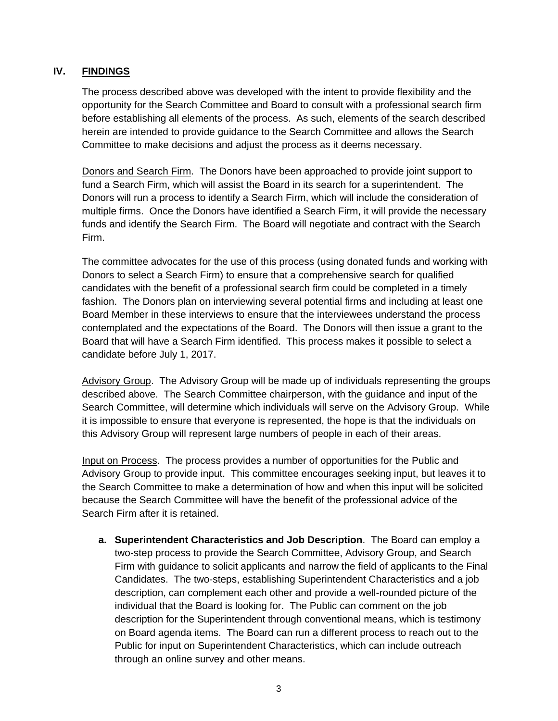## **IV. FINDINGS**

The process described above was developed with the intent to provide flexibility and the opportunity for the Search Committee and Board to consult with a professional search firm before establishing all elements of the process. As such, elements of the search described herein are intended to provide guidance to the Search Committee and allows the Search Committee to make decisions and adjust the process as it deems necessary.

Donors and Search Firm. The Donors have been approached to provide joint support to fund a Search Firm, which will assist the Board in its search for a superintendent. The Donors will run a process to identify a Search Firm, which will include the consideration of multiple firms. Once the Donors have identified a Search Firm, it will provide the necessary funds and identify the Search Firm. The Board will negotiate and contract with the Search Firm.

The committee advocates for the use of this process (using donated funds and working with Donors to select a Search Firm) to ensure that a comprehensive search for qualified candidates with the benefit of a professional search firm could be completed in a timely fashion. The Donors plan on interviewing several potential firms and including at least one Board Member in these interviews to ensure that the interviewees understand the process contemplated and the expectations of the Board. The Donors will then issue a grant to the Board that will have a Search Firm identified. This process makes it possible to select a candidate before July 1, 2017.

Advisory Group. The Advisory Group will be made up of individuals representing the groups described above. The Search Committee chairperson, with the guidance and input of the Search Committee, will determine which individuals will serve on the Advisory Group. While it is impossible to ensure that everyone is represented, the hope is that the individuals on this Advisory Group will represent large numbers of people in each of their areas.

Input on Process. The process provides a number of opportunities for the Public and Advisory Group to provide input. This committee encourages seeking input, but leaves it to the Search Committee to make a determination of how and when this input will be solicited because the Search Committee will have the benefit of the professional advice of the Search Firm after it is retained.

**a. Superintendent Characteristics and Job Description**. The Board can employ a two-step process to provide the Search Committee, Advisory Group, and Search Firm with guidance to solicit applicants and narrow the field of applicants to the Final Candidates. The two-steps, establishing Superintendent Characteristics and a job description, can complement each other and provide a well-rounded picture of the individual that the Board is looking for. The Public can comment on the job description for the Superintendent through conventional means, which is testimony on Board agenda items. The Board can run a different process to reach out to the Public for input on Superintendent Characteristics, which can include outreach through an online survey and other means.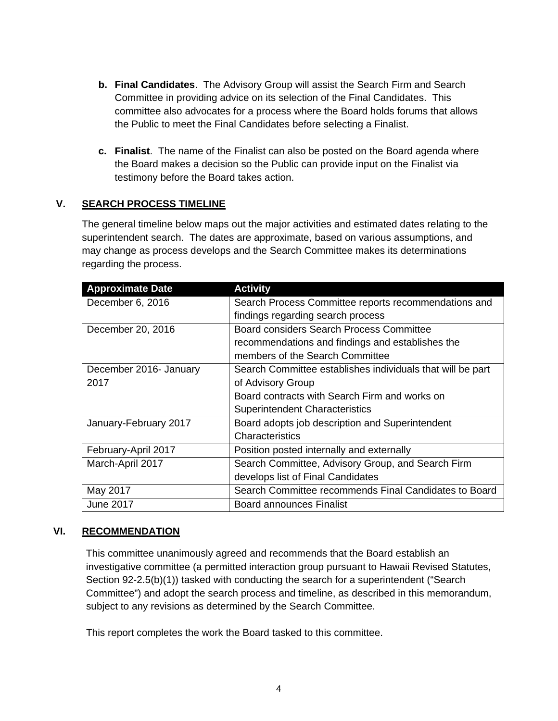- **b. Final Candidates**. The Advisory Group will assist the Search Firm and Search Committee in providing advice on its selection of the Final Candidates. This committee also advocates for a process where the Board holds forums that allows the Public to meet the Final Candidates before selecting a Finalist.
- **c. Finalist**. The name of the Finalist can also be posted on the Board agenda where the Board makes a decision so the Public can provide input on the Finalist via testimony before the Board takes action.

### **V. SEARCH PROCESS TIMELINE**

The general timeline below maps out the major activities and estimated dates relating to the superintendent search. The dates are approximate, based on various assumptions, and may change as process develops and the Search Committee makes its determinations regarding the process.

| <b>Approximate Date</b> | <b>Activity</b>                                            |
|-------------------------|------------------------------------------------------------|
| December 6, 2016        | Search Process Committee reports recommendations and       |
|                         | findings regarding search process                          |
| December 20, 2016       | Board considers Search Process Committee                   |
|                         | recommendations and findings and establishes the           |
|                         | members of the Search Committee                            |
| December 2016- January  | Search Committee establishes individuals that will be part |
| 2017                    | of Advisory Group                                          |
|                         | Board contracts with Search Firm and works on              |
|                         | <b>Superintendent Characteristics</b>                      |
| January-February 2017   | Board adopts job description and Superintendent            |
|                         | Characteristics                                            |
| February-April 2017     | Position posted internally and externally                  |
| March-April 2017        | Search Committee, Advisory Group, and Search Firm          |
|                         | develops list of Final Candidates                          |
| May 2017                | Search Committee recommends Final Candidates to Board      |
| <b>June 2017</b>        | <b>Board announces Finalist</b>                            |

#### **VI. RECOMMENDATION**

This committee unanimously agreed and recommends that the Board establish an investigative committee (a permitted interaction group pursuant to Hawaii Revised Statutes, Section 92-2.5(b)(1)) tasked with conducting the search for a superintendent ("Search Committee") and adopt the search process and timeline, as described in this memorandum, subject to any revisions as determined by the Search Committee.

This report completes the work the Board tasked to this committee.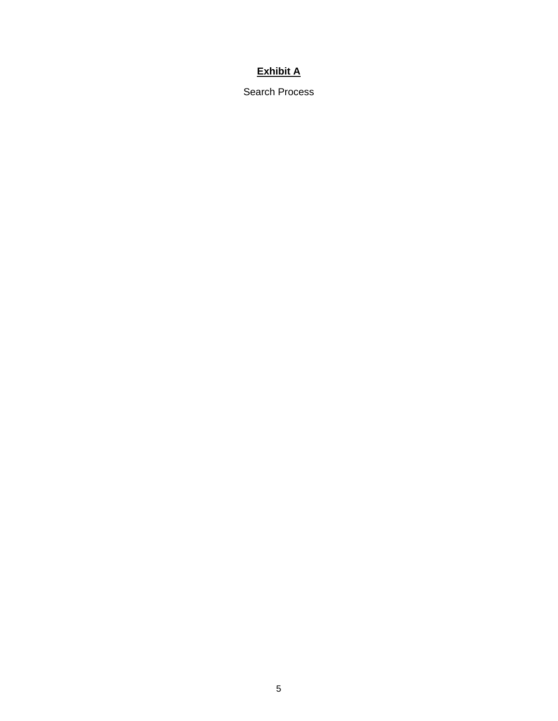# **Exhibit A**

Search Process